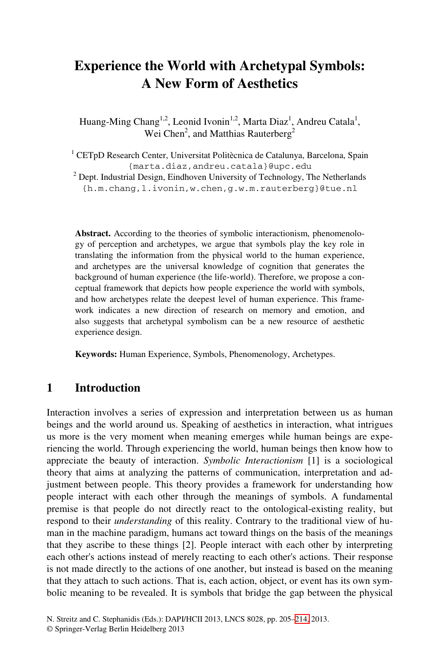# **Experience the World with Archetypal Symbols: A New Form of Aesthetics**

Huang-Ming Chang<sup>1,2</sup>, Leonid Ivonin<sup>1,2</sup>, Marta Diaz<sup>1</sup>, Andreu Catala<sup>1</sup>, Wei Chen<sup>2</sup>, and Matthias Rauterberg<sup>2</sup>

<sup>1</sup> CETpD Research Center, Universitat Politècnica de Catalunya, Barcelona, Spain {marta.diaz,andreu.catala}@upc.edu

<sup>2</sup> Dept. Industrial Design, Eindhoven University of Technology, The Netherlands {h.m.chang,l.ivonin,w.chen,g.w.m.rauterberg}@tue.nl

**Abstract.** According to the theories of symbolic interactionism, phenomenology of perception and archetypes, we argue that symbols play the key role in translating the information from the physical world to the human experience, and archetypes are the universal knowledge of cognition that generates the background of human experience (the life-world). Therefore, we propose a conceptual framework that depicts how people experience the world with symbols, and how archetypes relate the deepest level of human experience. This framework indicates a new direction of research on memory and emotion, and also suggests that archetypal symbolism can be a new resource of aesthetic experience design.

**Keywords:** Human Experience, Symbols, Phenomenology, Archetypes.

#### **1 Introduction**

Interaction involves a series of expression and interpretation between us as human beings and the world around us. Speaking of aesthetics in interaction, what intrigues us more is the very moment when meaning emerges while human beings are experiencing the world. Through experiencing the world, human beings then know how to appreciate the beauty of interaction. *Symbolic Interactionism* [1] is a sociological theory that aims at analyzing the patterns of communication, interpretation and adjustment between people. This theory provides a framework for understanding how people interact with each other through the meanings of symbols. A fundamental premise is that people do not directly react to the ontological-existing reality, but respond to their *understanding* of this rea[lity.](#page-9-0) Contrary to the traditional view of human in the machine paradigm, humans act toward things on the basis of the meanings that they ascribe to these things [2]. People interact with each other by interpreting each other's actions instead of merely reacting to each other's actions. Their response is not made directly to the actions of one another, but instead is based on the meaning that they attach to such actions. That is, each action, object, or event has its own symbolic meaning to be revealed. It is symbols that bridge the gap between the physical

N. Streitz and C. Stephanidis (Eds.): DAPI/HCII 2013, LNCS 8028, pp. 205–214, 2013.

<sup>©</sup> Springer-Verlag Berlin Heidelberg 2013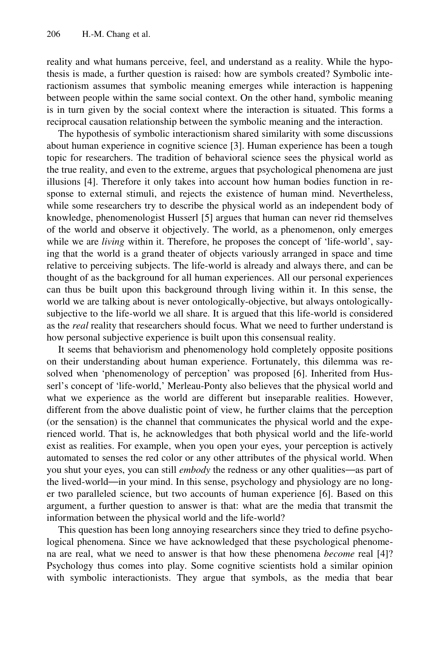reality and what humans perceive, feel, and understand as a reality. While the hypothesis is made, a further question is raised: how are symbols created? Symbolic interactionism assumes that symbolic meaning emerges while interaction is happening between people within the same social context. On the other hand, symbolic meaning is in turn given by the social context where the interaction is situated. This forms a reciprocal causation relationship between the symbolic meaning and the interaction.

The hypothesis of symbolic interactionism shared similarity with some discussions about human experience in cognitive science [3]. Human experience has been a tough topic for researchers. The tradition of behavioral science sees the physical world as the true reality, and even to the extreme, argues that psychological phenomena are just illusions [4]. Therefore it only takes into account how human bodies function in response to external stimuli, and rejects the existence of human mind. Nevertheless, while some researchers try to describe the physical world as an independent body of knowledge, phenomenologist Husserl [5] argues that human can never rid themselves of the world and observe it objectively. The world, as a phenomenon, only emerges while we are *living* within it. Therefore, he proposes the concept of 'life-world', saying that the world is a grand theater of objects variously arranged in space and time relative to perceiving subjects. The life-world is already and always there, and can be thought of as the background for all human experiences. All our personal experiences can thus be built upon this background through living within it. In this sense, the world we are talking about is never ontologically-objective, but always ontologicallysubjective to the life-world we all share. It is argued that this life-world is considered as the *real* reality that researchers should focus. What we need to further understand is how personal subjective experience is built upon this consensual reality.

It seems that behaviorism and phenomenology hold completely opposite positions on their understanding about human experience. Fortunately, this dilemma was resolved when 'phenomenology of perception' was proposed [6]. Inherited from Husserl's concept of 'life-world,' Merleau-Ponty also believes that the physical world and what we experience as the world are different but inseparable realities. However, different from the above dualistic point of view, he further claims that the perception (or the sensation) is the channel that communicates the physical world and the experienced world. That is, he acknowledges that both physical world and the life-world exist as realities. For example, when you open your eyes, your perception is actively automated to senses the red color or any other attributes of the physical world. When you shut your eyes, you can still *embody* the redness or any other qualities—as part of the lived-world—in your mind. In this sense, psychology and physiology are no longer two paralleled science, but two accounts of human experience [6]. Based on this argument, a further question to answer is that: what are the media that transmit the information between the physical world and the life-world?

This question has been long annoying researchers since they tried to define psychological phenomena. Since we have acknowledged that these psychological phenomena are real, what we need to answer is that how these phenomena *become* real [4]? Psychology thus comes into play. Some cognitive scientists hold a similar opinion with symbolic interactionists. They argue that symbols, as the media that bear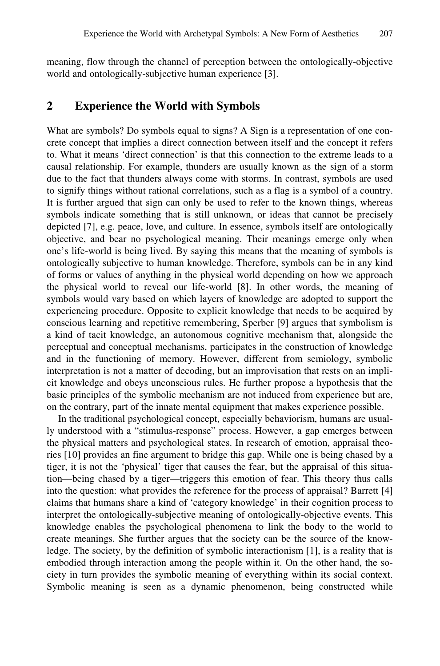meaning, flow through the channel of perception between the ontologically-objective world and ontologically-subjective human experience [3].

#### **2 Experience the World with Symbols**

What are symbols? Do symbols equal to signs? A Sign is a representation of one concrete concept that implies a direct connection between itself and the concept it refers to. What it means 'direct connection' is that this connection to the extreme leads to a causal relationship. For example, thunders are usually known as the sign of a storm due to the fact that thunders always come with storms. In contrast, symbols are used to signify things without rational correlations, such as a flag is a symbol of a country. It is further argued that sign can only be used to refer to the known things, whereas symbols indicate something that is still unknown, or ideas that cannot be precisely depicted [7], e.g. peace, love, and culture. In essence, symbols itself are ontologically objective, and bear no psychological meaning. Their meanings emerge only when one's life-world is being lived. By saying this means that the meaning of symbols is ontologically subjective to human knowledge. Therefore, symbols can be in any kind of forms or values of anything in the physical world depending on how we approach the physical world to reveal our life-world [8]. In other words, the meaning of symbols would vary based on which layers of knowledge are adopted to support the experiencing procedure. Opposite to explicit knowledge that needs to be acquired by conscious learning and repetitive remembering, Sperber [9] argues that symbolism is a kind of tacit knowledge, an autonomous cognitive mechanism that, alongside the perceptual and conceptual mechanisms, participates in the construction of knowledge and in the functioning of memory. However, different from semiology, symbolic interpretation is not a matter of decoding, but an improvisation that rests on an implicit knowledge and obeys unconscious rules. He further propose a hypothesis that the basic principles of the symbolic mechanism are not induced from experience but are, on the contrary, part of the innate mental equipment that makes experience possible.

In the traditional psychological concept, especially behaviorism, humans are usually understood with a "stimulus-response" process. However, a gap emerges between the physical matters and psychological states. In research of emotion, appraisal theories [10] provides an fine argument to bridge this gap. While one is being chased by a tiger, it is not the 'physical' tiger that causes the fear, but the appraisal of this situation—being chased by a tiger—triggers this emotion of fear. This theory thus calls into the question: what provides the reference for the process of appraisal? Barrett [4] claims that humans share a kind of 'category knowledge' in their cognition process to interpret the ontologically-subjective meaning of ontologically-objective events. This knowledge enables the psychological phenomena to link the body to the world to create meanings. She further argues that the society can be the source of the knowledge. The society, by the definition of symbolic interactionism [1], is a reality that is embodied through interaction among the people within it. On the other hand, the society in turn provides the symbolic meaning of everything within its social context. Symbolic meaning is seen as a dynamic phenomenon, being constructed while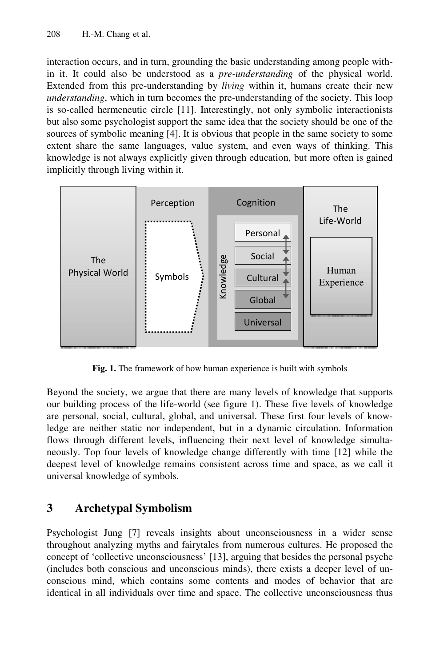interaction occurs, and in turn, grounding the basic understanding among people within it. It could also be understood as a *pre-understanding* of the physical world. Extended from this pre-understanding by *living* within it, humans create their new *understanding*, which in turn becomes the pre-understanding of the society. This loop is so-called hermeneutic circle [11]. Interestingly, not only symbolic interactionists but also some psychologist support the same idea that the society should be one of the sources of symbolic meaning [4]. It is obvious that people in the same society to some extent share the same languages, value system, and even ways of thinking. This knowledge is not always explicitly given through education, but more often is gained implicitly through living within it.



**Fig. 1.** The framework of how human experience is built with symbols

Beyond the society, we argue that there are many levels of knowledge that supports our building process of the life-world (see figure 1). These five levels of knowledge are personal, social, cultural, global, and universal. These first four levels of knowledge are neither static nor independent, but in a dynamic circulation. Information flows through different levels, influencing their next level of knowledge simultaneously. Top four levels of knowledge change differently with time [12] while the deepest level of knowledge remains consistent across time and space, as we call it universal knowledge of symbols.

# **3 Archetypal Symbolism**

Psychologist Jung [7] reveals insights about unconsciousness in a wider sense throughout analyzing myths and fairytales from numerous cultures. He proposed the concept of 'collective unconsciousness' [13], arguing that besides the personal psyche (includes both conscious and unconscious minds), there exists a deeper level of unconscious mind, which contains some contents and modes of behavior that are identical in all individuals over time and space. The collective unconsciousness thus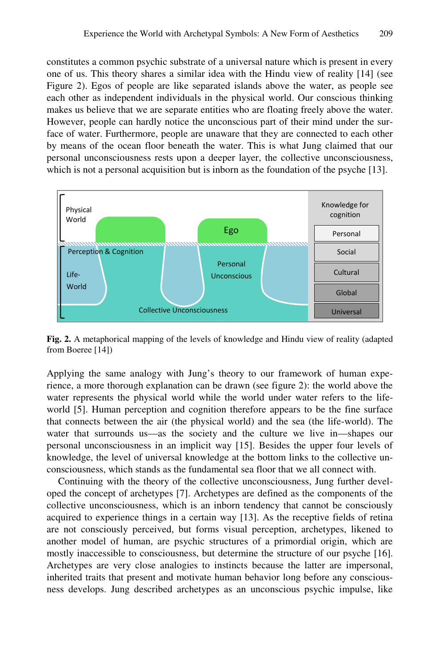constitutes a common psychic substrate of a universal nature which is present in every one of us. This theory shares a similar idea with the Hindu view of reality [14] (see Figure 2). Egos of people are like separated islands above the water, as people see each other as independent individuals in the physical world. Our conscious thinking makes us believe that we are separate entities who are floating freely above the water. However, people can hardly notice the unconscious part of their mind under the surface of water. Furthermore, people are unaware that they are connected to each other by means of the ocean floor beneath the water. This is what Jung claimed that our personal unconsciousness rests upon a deeper layer, the collective unconsciousness, which is not a personal acquisition but is inborn as the foundation of the psyche [13].



**Fig. 2.** A metaphorical mapping of the levels of knowledge and Hindu view of reality (adapted from Boeree [14])

Applying the same analogy with Jung's theory to our framework of human experience, a more thorough explanation can be drawn (see figure 2): the world above the water represents the physical world while the world under water refers to the lifeworld [5]. Human perception and cognition therefore appears to be the fine surface that connects between the air (the physical world) and the sea (the life-world). The water that surrounds us—as the society and the culture we live in—shapes our personal unconsciousness in an implicit way [15]. Besides the upper four levels of knowledge, the level of universal knowledge at the bottom links to the collective unconsciousness, which stands as the fundamental sea floor that we all connect with.

Continuing with the theory of the collective unconsciousness, Jung further developed the concept of archetypes [7]. Archetypes are defined as the components of the collective unconsciousness, which is an inborn tendency that cannot be consciously acquired to experience things in a certain way [13]. As the receptive fields of retina are not consciously perceived, but forms visual perception, archetypes, likened to another model of human, are psychic structures of a primordial origin, which are mostly inaccessible to consciousness, but determine the structure of our psyche [16]. Archetypes are very close analogies to instincts because the latter are impersonal, inherited traits that present and motivate human behavior long before any consciousness develops. Jung described archetypes as an unconscious psychic impulse, like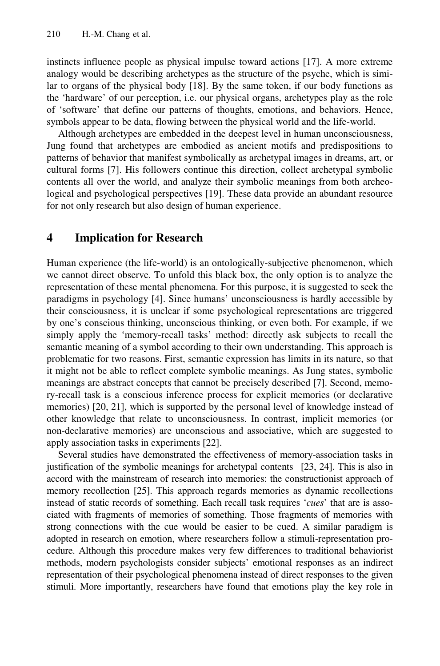instincts influence people as physical impulse toward actions [17]. A more extreme analogy would be describing archetypes as the structure of the psyche, which is similar to organs of the physical body [18]. By the same token, if our body functions as the 'hardware' of our perception, i.e. our physical organs, archetypes play as the role of 'software' that define our patterns of thoughts, emotions, and behaviors. Hence, symbols appear to be data, flowing between the physical world and the life-world.

Although archetypes are embedded in the deepest level in human unconsciousness, Jung found that archetypes are embodied as ancient motifs and predispositions to patterns of behavior that manifest symbolically as archetypal images in dreams, art, or cultural forms [7]. His followers continue this direction, collect archetypal symbolic contents all over the world, and analyze their symbolic meanings from both archeological and psychological perspectives [19]. These data provide an abundant resource for not only research but also design of human experience.

#### **4 Implication for Research**

Human experience (the life-world) is an ontologically-subjective phenomenon, which we cannot direct observe. To unfold this black box, the only option is to analyze the representation of these mental phenomena. For this purpose, it is suggested to seek the paradigms in psychology [4]. Since humans' unconsciousness is hardly accessible by their consciousness, it is unclear if some psychological representations are triggered by one's conscious thinking, unconscious thinking, or even both. For example, if we simply apply the 'memory-recall tasks' method: directly ask subjects to recall the semantic meaning of a symbol according to their own understanding. This approach is problematic for two reasons. First, semantic expression has limits in its nature, so that it might not be able to reflect complete symbolic meanings. As Jung states, symbolic meanings are abstract concepts that cannot be precisely described [7]. Second, memory-recall task is a conscious inference process for explicit memories (or declarative memories) [20, 21], which is supported by the personal level of knowledge instead of other knowledge that relate to unconsciousness. In contrast, implicit memories (or non-declarative memories) are unconscious and associative, which are suggested to apply association tasks in experiments [22].

Several studies have demonstrated the effectiveness of memory-association tasks in justification of the symbolic meanings for archetypal contents [23, 24]. This is also in accord with the mainstream of research into memories: the constructionist approach of memory recollection [25]. This approach regards memories as dynamic recollections instead of static records of something. Each recall task requires '*cues*' that are is associated with fragments of memories of something. Those fragments of memories with strong connections with the cue would be easier to be cued. A similar paradigm is adopted in research on emotion, where researchers follow a stimuli-representation procedure. Although this procedure makes very few differences to traditional behaviorist methods, modern psychologists consider subjects' emotional responses as an indirect representation of their psychological phenomena instead of direct responses to the given stimuli. More importantly, researchers have found that emotions play the key role in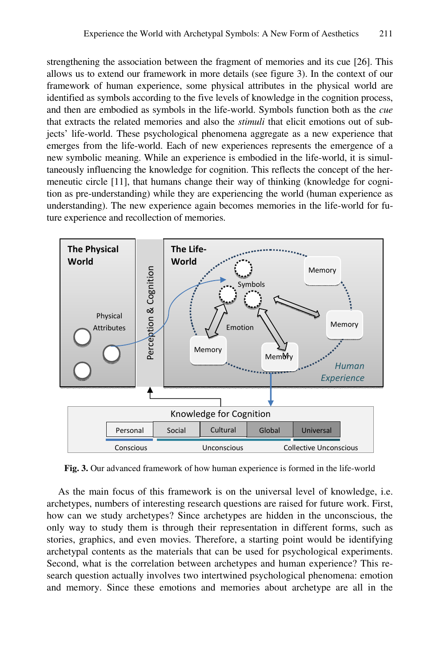strengthening the association between the fragment of memories and its cue [26]. This allows us to extend our framework in more details (see figure 3). In the context of our framework of human experience, some physical attributes in the physical world are identified as symbols according to the five levels of knowledge in the cognition process, and then are embodied as symbols in the life-world. Symbols function both as the *cue*  that extracts the related memories and also the *stimuli* that elicit emotions out of subjects' life-world. These psychological phenomena aggregate as a new experience that emerges from the life-world. Each of new experiences represents the emergence of a new symbolic meaning. While an experience is embodied in the life-world, it is simultaneously influencing the knowledge for cognition. This reflects the concept of the hermeneutic circle [11], that humans change their way of thinking (knowledge for cognition as pre-understanding) while they are experiencing the world (human experience as understanding). The new experience again becomes memories in the life-world for future experience and recollection of memories.



**Fig. 3.** Our advanced framework of how human experience is formed in the life-world

As the main focus of this framework is on the universal level of knowledge, i.e. archetypes, numbers of interesting research questions are raised for future work. First, how can we study archetypes? Since archetypes are hidden in the unconscious, the only way to study them is through their representation in different forms, such as stories, graphics, and even movies. Therefore, a starting point would be identifying archetypal contents as the materials that can be used for psychological experiments. Second, what is the correlation between archetypes and human experience? This research question actually involves two intertwined psychological phenomena: emotion and memory. Since these emotions and memories about archetype are all in the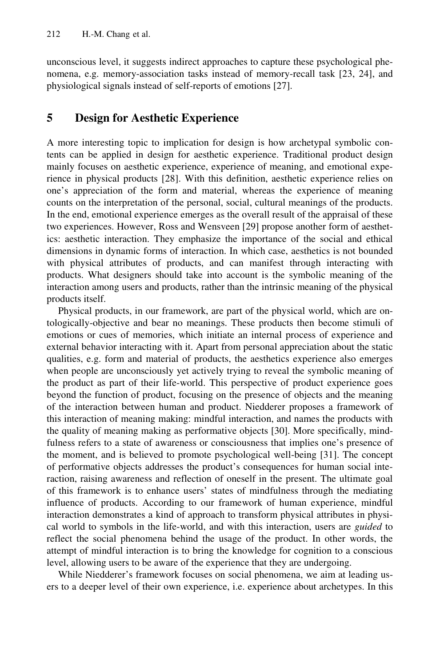unconscious level, it suggests indirect approaches to capture these psychological phenomena, e.g. memory-association tasks instead of memory-recall task [23, 24], and physiological signals instead of self-reports of emotions [27].

## **5 Design for Aesthetic Experience**

A more interesting topic to implication for design is how archetypal symbolic contents can be applied in design for aesthetic experience. Traditional product design mainly focuses on aesthetic experience, experience of meaning, and emotional experience in physical products [28]. With this definition, aesthetic experience relies on one's appreciation of the form and material, whereas the experience of meaning counts on the interpretation of the personal, social, cultural meanings of the products. In the end, emotional experience emerges as the overall result of the appraisal of these two experiences. However, Ross and Wensveen [29] propose another form of aesthetics: aesthetic interaction. They emphasize the importance of the social and ethical dimensions in dynamic forms of interaction. In which case, aesthetics is not bounded with physical attributes of products, and can manifest through interacting with products. What designers should take into account is the symbolic meaning of the interaction among users and products, rather than the intrinsic meaning of the physical products itself.

Physical products, in our framework, are part of the physical world, which are ontologically-objective and bear no meanings. These products then become stimuli of emotions or cues of memories, which initiate an internal process of experience and external behavior interacting with it. Apart from personal appreciation about the static qualities, e.g. form and material of products, the aesthetics experience also emerges when people are unconsciously yet actively trying to reveal the symbolic meaning of the product as part of their life-world. This perspective of product experience goes beyond the function of product, focusing on the presence of objects and the meaning of the interaction between human and product. Niedderer proposes a framework of this interaction of meaning making: mindful interaction, and names the products with the quality of meaning making as performative objects [30]. More specifically, mindfulness refers to a state of awareness or consciousness that implies one's presence of the moment, and is believed to promote psychological well-being [31]. The concept of performative objects addresses the product's consequences for human social interaction, raising awareness and reflection of oneself in the present. The ultimate goal of this framework is to enhance users' states of mindfulness through the mediating influence of products. According to our framework of human experience, mindful interaction demonstrates a kind of approach to transform physical attributes in physical world to symbols in the life-world, and with this interaction, users are *guided* to reflect the social phenomena behind the usage of the product. In other words, the attempt of mindful interaction is to bring the knowledge for cognition to a conscious level, allowing users to be aware of the experience that they are undergoing.

While Niedderer's framework focuses on social phenomena, we aim at leading users to a deeper level of their own experience, i.e. experience about archetypes. In this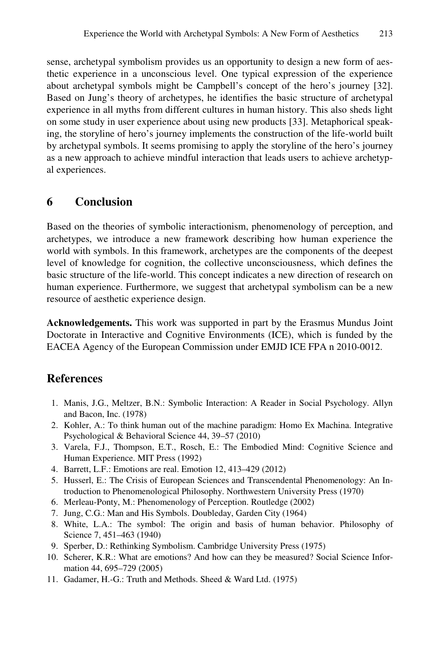sense, archetypal symbolism provides us an opportunity to design a new form of aesthetic experience in a unconscious level. One typical expression of the experience about archetypal symbols might be Campbell's concept of the hero's journey [32]. Based on Jung's theory of archetypes, he identifies the basic structure of archetypal experience in all myths from different cultures in human history. This also sheds light on some study in user experience about using new products [33]. Metaphorical speaking, the storyline of hero's journey implements the construction of the life-world built by archetypal symbols. It seems promising to apply the storyline of the hero's journey as a new approach to achieve mindful interaction that leads users to achieve archetypal experiences.

## **6 Conclusion**

Based on the theories of symbolic interactionism, phenomenology of perception, and archetypes, we introduce a new framework describing how human experience the world with symbols. In this framework, archetypes are the components of the deepest level of knowledge for cognition, the collective unconsciousness, which defines the basic structure of the life-world. This concept indicates a new direction of research on human experience. Furthermore, we suggest that archetypal symbolism can be a new resource of aesthetic experience design.

**Acknowledgements.** This work was supported in part by the Erasmus Mundus Joint Doctorate in Interactive and Cognitive Environments (ICE), which is funded by the EACEA Agency of the European Commission under EMJD ICE FPA n 2010-0012.

## **References**

- 1. Manis, J.G., Meltzer, B.N.: Symbolic Interaction: A Reader in Social Psychology. Allyn and Bacon, Inc. (1978)
- 2. Kohler, A.: To think human out of the machine paradigm: Homo Ex Machina. Integrative Psychological & Behavioral Science 44, 39–57 (2010)
- 3. Varela, F.J., Thompson, E.T., Rosch, E.: The Embodied Mind: Cognitive Science and Human Experience. MIT Press (1992)
- 4. Barrett, L.F.: Emotions are real. Emotion 12, 413–429 (2012)
- 5. Husserl, E.: The Crisis of European Sciences and Transcendental Phenomenology: An Introduction to Phenomenological Philosophy. Northwestern University Press (1970)
- 6. Merleau-Ponty, M.: Phenomenology of Perception. Routledge (2002)
- 7. Jung, C.G.: Man and His Symbols. Doubleday, Garden City (1964)
- 8. White, L.A.: The symbol: The origin and basis of human behavior. Philosophy of Science 7, 451–463 (1940)
- 9. Sperber, D.: Rethinking Symbolism. Cambridge University Press (1975)
- 10. Scherer, K.R.: What are emotions? And how can they be measured? Social Science Information 44, 695–729 (2005)
- 11. Gadamer, H.-G.: Truth and Methods. Sheed & Ward Ltd. (1975)